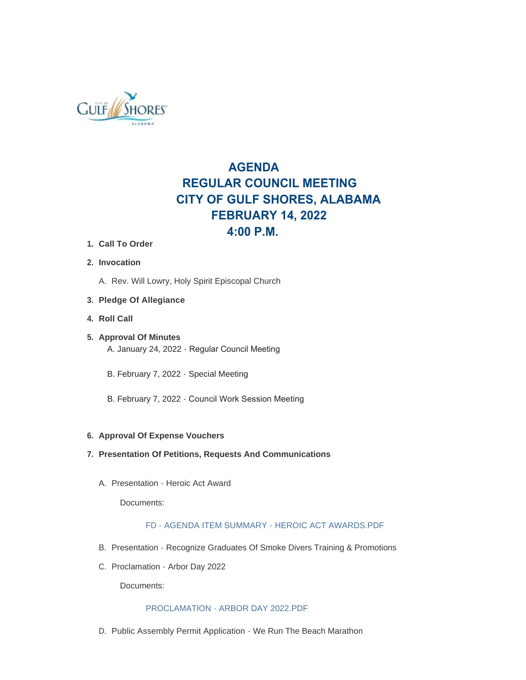

# **AGENDA REGULAR COUNCIL MEETING CITY OF GULF SHORES, ALABAMA FEBRUARY 14, 2022 4:00 P.M.**

- **Call To Order 1.**
- **Invocation 2.**
	- A. Rev. Will Lowry, Holy Spirit Episcopal Church
- **Pledge Of Allegiance 3.**
- **Roll Call 4.**
- **Approval Of Minutes 5.** A. January 24, 2022 - Regular Council Meeting
	- B. February 7, 2022 Special Meeting
	- B. February 7, 2022 Council Work Session Meeting

### **Approval Of Expense Vouchers 6.**

- **Presentation Of Petitions, Requests And Communications 7.**
	- A. Presentation Heroic Act Award

Documents:

## [FD - AGENDA ITEM SUMMARY - HEROIC ACT AWARDS.PDF](https://www.gulfshoresal.gov/AgendaCenter/ViewFile/Item/9748?fileID=20872)

- B. Presentation Recognize Graduates Of Smoke Divers Training & Promotions
- C. Proclamation Arbor Day 2022

Documents:

### [PROCLAMATION - ARBOR DAY 2022.PDF](https://www.gulfshoresal.gov/AgendaCenter/ViewFile/Item/9747?fileID=20815)

D. Public Assembly Permit Application - We Run The Beach Marathon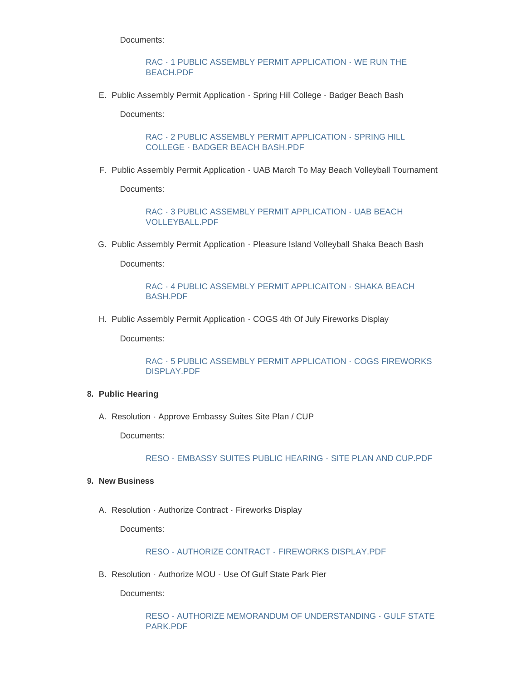Documents:

[RAC - 1 PUBLIC ASSEMBLY PERMIT APPLICATION - WE RUN THE](https://www.gulfshoresal.gov/AgendaCenter/ViewFile/Item/9742?fileID=20810)  BEACH.PDF

E. Public Assembly Permit Application - Spring Hill College - Badger Beach Bash

Documents:

[RAC - 2 PUBLIC ASSEMBLY PERMIT APPLICATION - SPRING HILL](https://www.gulfshoresal.gov/AgendaCenter/ViewFile/Item/9743?fileID=20811)  COLLEGE - BADGER BEACH BASH.PDF

F. Public Assembly Permit Application - UAB March To May Beach Volleyball Tournament

Documents:

[RAC - 3 PUBLIC ASSEMBLY PERMIT APPLICATION - UAB BEACH](https://www.gulfshoresal.gov/AgendaCenter/ViewFile/Item/9744?fileID=20812)  VOLLEYBALL.PDF

G. Public Assembly Permit Application - Pleasure Island Volleyball Shaka Beach Bash

Documents:

[RAC - 4 PUBLIC ASSEMBLY PERMIT APPLICAITON - SHAKA BEACH](https://www.gulfshoresal.gov/AgendaCenter/ViewFile/Item/9745?fileID=20813)  BASH.PDF

H. Public Assembly Permit Application - COGS 4th Of July Fireworks Display

Documents:

[RAC - 5 PUBLIC ASSEMBLY PERMIT APPLICATION - COGS FIREWORKS](https://www.gulfshoresal.gov/AgendaCenter/ViewFile/Item/9746?fileID=20814)  DISPLAY.PDF

### **Public Hearing 8.**

A. Resolution - Approve Embassy Suites Site Plan / CUP

Documents:

[RESO - EMBASSY SUITES PUBLIC HEARING - SITE PLAN AND CUP.PDF](https://www.gulfshoresal.gov/AgendaCenter/ViewFile/Item/9758?fileID=20881)

### **New Business 9.**

A. Resolution - Authorize Contract - Fireworks Display

Documents:

### [RESO - AUTHORIZE CONTRACT - FIREWORKS DISPLAY.PDF](https://www.gulfshoresal.gov/AgendaCenter/ViewFile/Item/9754?fileID=20882)

B. Resolution - Authorize MOU - Use Of Gulf State Park Pier

Documents:

[RESO - AUTHORIZE MEMORANDUM OF UNDERSTANDING - GULF STATE](https://www.gulfshoresal.gov/AgendaCenter/ViewFile/Item/9755?fileID=20878)  PARK.PDF